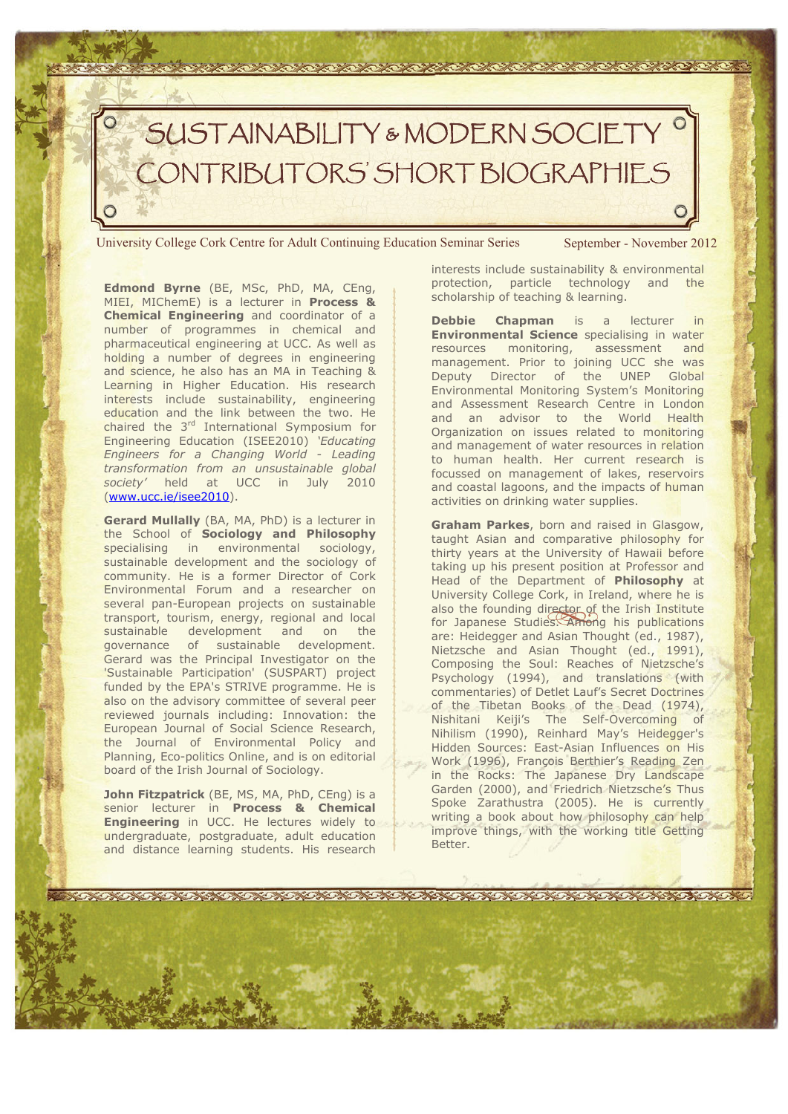

University College Cork Centre for Adult Continuing Education Seminar Series September - November 2012

**Edmond Byrne** (BE, MSc, PhD, MA, CEng, MIEI, MIChemE) is a lecturer in **Process & Chemical Engineering** and coordinator of a number of programmes in chemical and pharmaceutical engineering at UCC. As well as holding a number of degrees in engineering and science, he also has an MA in Teaching & Learning in Higher Education. His research interests include sustainability, engineering education and the link between the two. He chaired the 3<sup>rd</sup> International Symposium for Engineering Education (ISEE2010) *'Educating Engineers for a Changing World - Leading transformation from an unsustainable global society'* held at UCC in July 2010 (www.ucc.ie/isee2010).

**Gerard Mullally** (BA, MA, PhD) is a lecturer in the School of **Sociology and Philosophy** specialising in environmental sociology, sustainable development and the sociology of community. He is a former Director of Cork Environmental Forum and a researcher on several pan-European projects on sustainable transport, tourism, energy, regional and local sustainable development and on the governance of sustainable development. Gerard was the Principal Investigator on the 'Sustainable Participation' (SUSPART) project funded by the EPA's STRIVE programme. He is also on the advisory committee of several peer reviewed journals including: Innovation: the European Journal of Social Science Research, the Journal of Environmental Policy and Planning, Eco-politics Online, and is on editorial board of the Irish Journal of Sociology.

**John Fitzpatrick** (BE, MS, MA, PhD, CEng) is a senior lecturer in **Process & Chemical Engineering** in UCC. He lectures widely to undergraduate, postgraduate, adult education and distance learning students. His research

interests include sustainability & environmental protection, particle technology and the scholarship of teaching & learning.

**Debbie Chapman** is a lecturer in **Environmental Science** specialising in water resources monitoring, assessment and management. Prior to joining UCC she was Deputy Director of the UNEP Global Environmental Monitoring System's Monitoring and Assessment Research Centre in London and an advisor to the World Health Organization on issues related to monitoring and management of water resources in relation to human health. Her current research is focussed on management of lakes, reservoirs and coastal lagoons, and the impacts of human activities on drinking water supplies.

**Graham Parkes**, born and raised in Glasgow, taught Asian and comparative philosophy for thirty years at the University of Hawaii before taking up his present position at Professor and Head of the Department of **Philosophy** at University College Cork, in Ireland, where he is also the founding director of the Irish Institute for Japanese Studies. Among his publications are: Heidegger and Asian Thought (ed., 1987), Nietzsche and Asian Thought (ed., 1991), Composing the Soul: Reaches of Nietzsche's Psychology (1994), and translations (with commentaries) of Detlet Lauf's Secret Doctrines of the Tibetan Books of the Dead (1974), Nishitani Keiji's The Self-Overcoming of Nihilism (1990), Reinhard May's Heidegger's Hidden Sources: East-Asian Influences on His Work (1996), François Berthier's Reading Zen in the Rocks: The Japanese Dry Landscape Garden (2000), and Friedrich Nietzsche's Thus Spoke Zarathustra (2005). He is currently writing a book about how philosophy can help improve things, with the working title Getting Better.